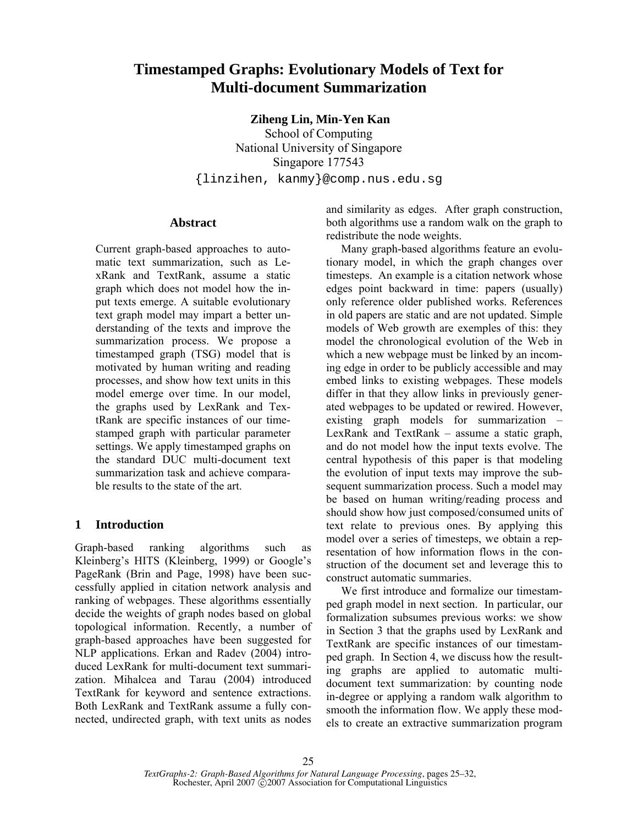# **Timestamped Graphs: Evolutionary Models of Text for Multi-document Summarization**

 **Ziheng Lin, Min-Yen Kan** 

School of Computing National University of Singapore Singapore 177543 {linzihen, kanmy}@comp.nus.edu.sg

### **Abstract**

Current graph-based approaches to automatic text summarization, such as LexRank and TextRank, assume a static graph which does not model how the input texts emerge. A suitable evolutionary text graph model may impart a better understanding of the texts and improve the summarization process. We propose a timestamped graph (TSG) model that is motivated by human writing and reading processes, and show how text units in this model emerge over time. In our model, the graphs used by LexRank and TextRank are specific instances of our timestamped graph with particular parameter settings. We apply timestamped graphs on the standard DUC multi-document text summarization task and achieve comparable results to the state of the art.

# **1 Introduction**

Graph-based ranking algorithms such as Kleinberg's HITS (Kleinberg, 1999) or Google's PageRank (Brin and Page, 1998) have been successfully applied in citation network analysis and ranking of webpages. These algorithms essentially decide the weights of graph nodes based on global topological information. Recently, a number of graph-based approaches have been suggested for NLP applications. Erkan and Radev (2004) introduced LexRank for multi-document text summarization. Mihalcea and Tarau (2004) introduced TextRank for keyword and sentence extractions. Both LexRank and TextRank assume a fully connected, undirected graph, with text units as nodes and similarity as edges. After graph construction, both algorithms use a random walk on the graph to redistribute the node weights.

Many graph-based algorithms feature an evolutionary model, in which the graph changes over timesteps. An example is a citation network whose edges point backward in time: papers (usually) only reference older published works. References in old papers are static and are not updated. Simple models of Web growth are exemples of this: they model the chronological evolution of the Web in which a new webpage must be linked by an incoming edge in order to be publicly accessible and may embed links to existing webpages. These models differ in that they allow links in previously generated webpages to be updated or rewired. However, existing graph models for summarization – LexRank and TextRank – assume a static graph, and do not model how the input texts evolve. The central hypothesis of this paper is that modeling the evolution of input texts may improve the subsequent summarization process. Such a model may be based on human writing/reading process and should show how just composed/consumed units of text relate to previous ones. By applying this model over a series of timesteps, we obtain a representation of how information flows in the construction of the document set and leverage this to construct automatic summaries.

We first introduce and formalize our timestamped graph model in next section. In particular, our formalization subsumes previous works: we show in Section 3 that the graphs used by LexRank and TextRank are specific instances of our timestamped graph. In Section 4, we discuss how the resulting graphs are applied to automatic multidocument text summarization: by counting node in-degree or applying a random walk algorithm to smooth the information flow. We apply these models to create an extractive summarization program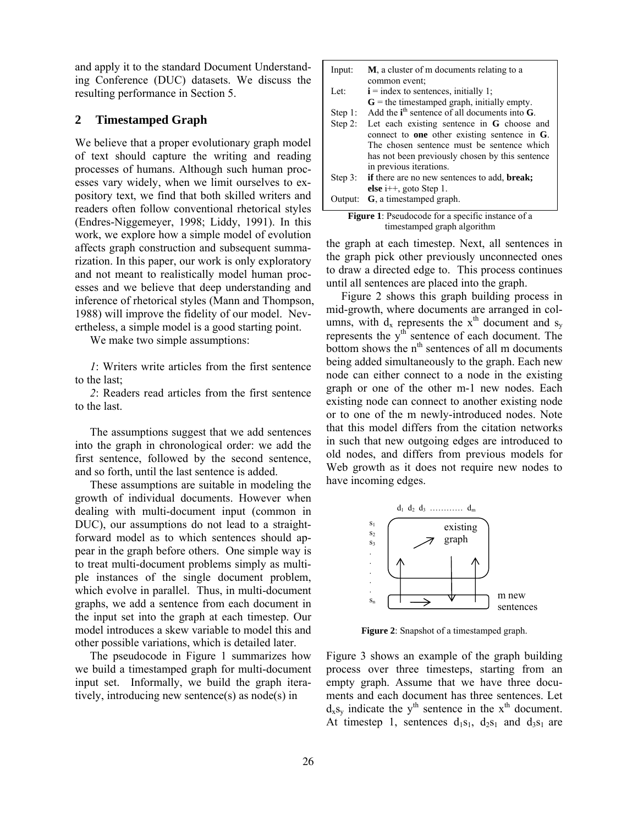and apply it to the standard Document Understanding Conference (DUC) datasets. We discuss the resulting performance in Section 5.

#### **2 Timestamped Graph**

We believe that a proper evolutionary graph model of text should capture the writing and reading processes of humans. Although such human processes vary widely, when we limit ourselves to expository text, we find that both skilled writers and readers often follow conventional rhetorical styles (Endres-Niggemeyer, 1998; Liddy, 1991). In this work, we explore how a simple model of evolution affects graph construction and subsequent summarization. In this paper, our work is only exploratory and not meant to realistically model human processes and we believe that deep understanding and inference of rhetorical styles (Mann and Thompson, 1988) will improve the fidelity of our model. Nevertheless, a simple model is a good starting point.

We make two simple assumptions:

*1*: Writers write articles from the first sentence to the last;

*2*: Readers read articles from the first sentence to the last.

The assumptions suggest that we add sentences into the graph in chronological order: we add the first sentence, followed by the second sentence, and so forth, until the last sentence is added.

These assumptions are suitable in modeling the growth of individual documents. However when dealing with multi-document input (common in DUC), our assumptions do not lead to a straightforward model as to which sentences should appear in the graph before others. One simple way is to treat multi-document problems simply as multiple instances of the single document problem, which evolve in parallel. Thus, in multi-document graphs, we add a sentence from each document in the input set into the graph at each timestep. Our model introduces a skew variable to model this and other possible variations, which is detailed later.

The pseudocode in Figure 1 summarizes how we build a timestamped graph for multi-document input set. Informally, we build the graph iteratively, introducing new sentence(s) as node(s) in

| Input:    | <b>M</b> , a cluster of m documents relating to a           |
|-----------|-------------------------------------------------------------|
|           | common event;                                               |
| Let:      | $\mathbf{i}$ = index to sentences, initially 1;             |
|           | $G$ = the timestamped graph, initially empty.               |
| Step 1:   | Add the $ith$ sentence of all documents into $G$ .          |
| Step 2:   | Let each existing sentence in $G$ choose and                |
|           | connect to <b>one</b> other existing sentence in $G$ .      |
|           | The chosen sentence must be sentence which                  |
|           | has not been previously chosen by this sentence             |
|           | in previous iterations.                                     |
| Step $3:$ | <b>if</b> there are no new sentences to add, <b>break</b> ; |
|           | else $i++$ , goto Step 1.                                   |
| Output:   | G, a timestamped graph.                                     |

| <b>Figure 1:</b> Pseudocode for a specific instance of a |
|----------------------------------------------------------|
| timestamped graph algorithm                              |

the graph at each timestep. Next, all sentences in the graph pick other previously unconnected ones to draw a directed edge to. This process continues until all sentences are placed into the graph.

Figure 2 shows this graph building process in mid-growth, where documents are arranged in columns, with  $d_x$  represents the  $x<sup>th</sup>$  document and  $s_y$ represents the y<sup>th</sup> sentence of each document. The bottom shows the n<sup>th</sup> sentences of all m documents being added simultaneously to the graph. Each new node can either connect to a node in the existing graph or one of the other m-1 new nodes. Each existing node can connect to another existing node or to one of the m newly-introduced nodes. Note that this model differs from the citation networks in such that new outgoing edges are introduced to old nodes, and differs from previous models for Web growth as it does not require new nodes to have incoming edges.



**Figure 2**: Snapshot of a timestamped graph.

Figure 3 shows an example of the graph building process over three timesteps, starting from an empty graph. Assume that we have three documents and each document has three sentences. Let  $d_x s_y$  indicate the y<sup>th</sup> sentence in the x<sup>th</sup> document. At timestep 1, sentences  $d_1s_1$ ,  $d_2s_1$  and  $d_3s_1$  are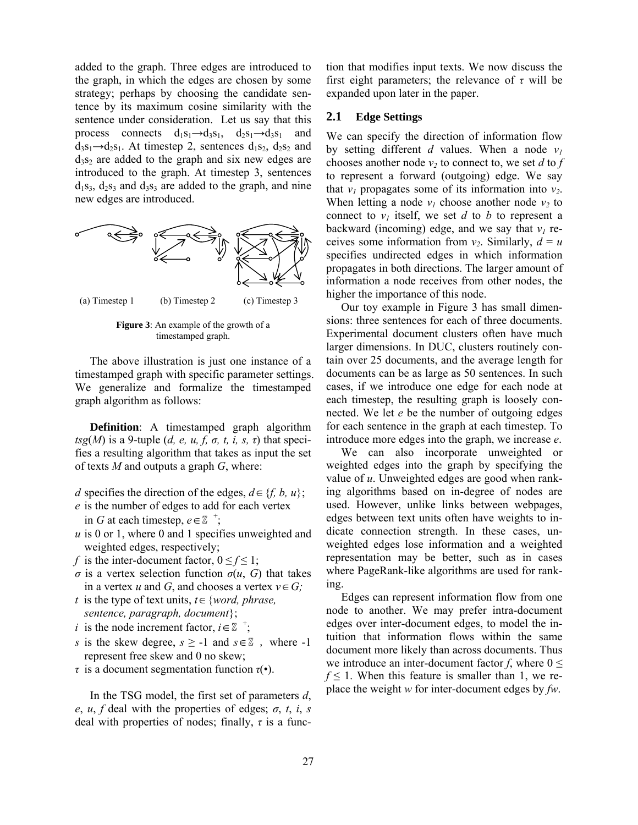added to the graph. Three edges are introduced to the graph, in which the edges are chosen by some strategy; perhaps by choosing the candidate sentence by its maximum cosine similarity with the sentence under consideration. Let us say that this process connects  $d_1s_1 \rightarrow d_3s_1$ ,  $d_2s_1 \rightarrow d_3s_1$  and  $d_3s_1 \rightarrow d_2s_1$ . At timestep 2, sentences  $d_1s_2$ ,  $d_2s_2$  and  $d_3s_2$  are added to the graph and six new edges are introduced to the graph. At timestep 3, sentences  $d_1s_3$ ,  $d_2s_3$  and  $d_3s_3$  are added to the graph, and nine new edges are introduced.



**Figure 3**: An example of the growth of a timestamped graph.

The above illustration is just one instance of a timestamped graph with specific parameter settings. We generalize and formalize the timestamped graph algorithm as follows:

**Definition**: A timestamped graph algorithm  $tsg(M)$  is a 9-tuple (*d, e, u, f, o, t, i, s, τ*) that specifies a resulting algorithm that takes as input the set of texts *M* and outputs a graph *G*, where:

- *d* specifies the direction of the edges,  $d \in \{f, b, u\}$ ;
- *e* is the number of edges to add for each vertex in *G* at each timestep,  $e \in \mathbb{Z}^+$ ;
- *u* is 0 or 1, where 0 and 1 specifies unweighted and weighted edges, respectively;
- *f* is the inter-document factor,  $0 \le f \le 1$ ;
- *σ* is a vertex selection function *σ*(*u*, *G*) that takes in a vertex *u* and *G*, and chooses a vertex  $v \in G$ ;
- *t* is the type of text units, *t*∈{*word, phrase, sentence, paragraph, document*};
- *i* is the node increment factor,  $i \in \mathbb{Z}^+$ ;
- *s* is the skew degree,  $s \ge -1$  and  $s \in \mathbb{Z}$ , where -1 represent free skew and 0 no skew;
- *τ* is a document segmentation function *τ*(•).

In the TSG model, the first set of parameters *d*, *e*, *u*, *f* deal with the properties of edges;  $\sigma$ , *t*, *i*, *s* deal with properties of nodes; finally, *τ* is a function that modifies input texts. We now discuss the first eight parameters; the relevance of *τ* will be expanded upon later in the paper.

#### **2.1 Edge Settings**

We can specify the direction of information flow by setting different *d* values. When a node  $v_1$ chooses another node  $v_2$  to connect to, we set *d* to *f* to represent a forward (outgoing) edge. We say that  $v_1$  propagates some of its information into  $v_2$ . When letting a node  $v_1$  choose another node  $v_2$  to connect to  $v_1$  itself, we set *d* to *b* to represent a backward (incoming) edge, and we say that  $v_1$  receives some information from  $v_2$ . Similarly,  $d = u$ specifies undirected edges in which information propagates in both directions. The larger amount of information a node receives from other nodes, the higher the importance of this node.

Our toy example in Figure 3 has small dimensions: three sentences for each of three documents. Experimental document clusters often have much larger dimensions. In DUC, clusters routinely contain over 25 documents, and the average length for documents can be as large as 50 sentences. In such cases, if we introduce one edge for each node at each timestep, the resulting graph is loosely connected. We let *e* be the number of outgoing edges for each sentence in the graph at each timestep. To introduce more edges into the graph, we increase *e*.

We can also incorporate unweighted or weighted edges into the graph by specifying the value of *u*. Unweighted edges are good when ranking algorithms based on in-degree of nodes are used. However, unlike links between webpages, edges between text units often have weights to indicate connection strength. In these cases, unweighted edges lose information and a weighted representation may be better, such as in cases where PageRank-like algorithms are used for ranking.

Edges can represent information flow from one node to another. We may prefer intra-document edges over inter-document edges, to model the intuition that information flows within the same document more likely than across documents. Thus we introduce an inter-document factor *f*, where  $0 \leq$  $f \leq 1$ . When this feature is smaller than 1, we replace the weight *w* for inter-document edges by *fw*.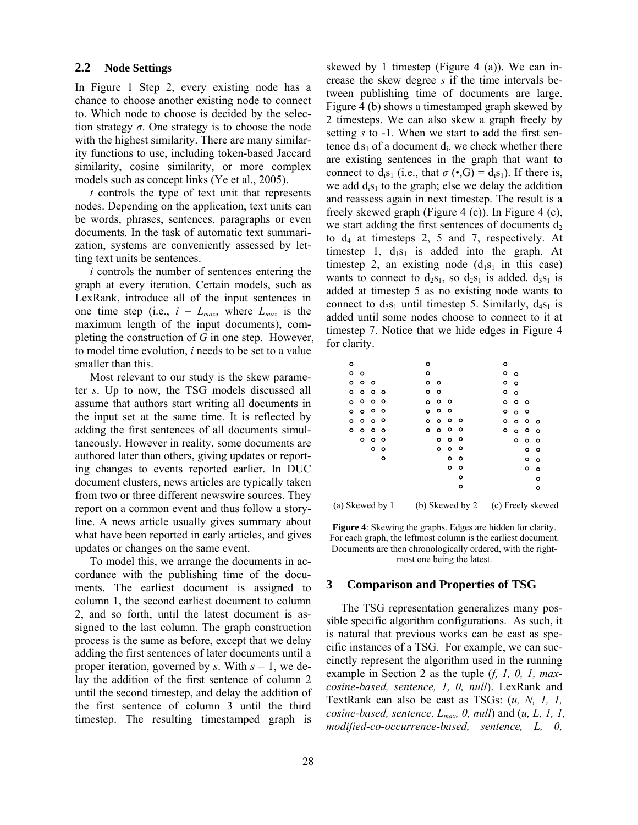#### **2.2 Node Settings**

In Figure 1 Step 2, every existing node has a chance to choose another existing node to connect to. Which node to choose is decided by the selection strategy  $\sigma$ . One strategy is to choose the node with the highest similarity. There are many similarity functions to use, including token-based Jaccard similarity, cosine similarity, or more complex models such as concept links (Ye et al., 2005).

*t* controls the type of text unit that represents nodes. Depending on the application, text units can be words, phrases, sentences, paragraphs or even documents. In the task of automatic text summarization, systems are conveniently assessed by letting text units be sentences.

*i* controls the number of sentences entering the graph at every iteration. Certain models, such as LexRank, introduce all of the input sentences in one time step (i.e.,  $i = L_{max}$ , where  $L_{max}$  is the maximum length of the input documents), completing the construction of *G* in one step. However, to model time evolution, *i* needs to be set to a value smaller than this.

Most relevant to our study is the skew parameter *s*. Up to now, the TSG models discussed all assume that authors start writing all documents in the input set at the same time. It is reflected by adding the first sentences of all documents simultaneously. However in reality, some documents are authored later than others, giving updates or reporting changes to events reported earlier. In DUC document clusters, news articles are typically taken from two or three different newswire sources. They report on a common event and thus follow a storyline. A news article usually gives summary about what have been reported in early articles, and gives updates or changes on the same event.

To model this, we arrange the documents in accordance with the publishing time of the documents. The earliest document is assigned to column 1, the second earliest document to column 2, and so forth, until the latest document is assigned to the last column. The graph construction process is the same as before, except that we delay adding the first sentences of later documents until a proper iteration, governed by *s*. With *s* = 1, we delay the addition of the first sentence of column 2 until the second timestep, and delay the addition of the first sentence of column 3 until the third timestep. The resulting timestamped graph is skewed by 1 timestep (Figure 4 (a)). We can increase the skew degree *s* if the time intervals between publishing time of documents are large. Figure 4 (b) shows a timestamped graph skewed by 2 timesteps. We can also skew a graph freely by setting *s* to -1. When we start to add the first sentence  $d_i s_1$  of a document  $d_i$ , we check whether there are existing sentences in the graph that want to connect to  $d_i s_1$  (i.e., that  $\sigma(\bullet, G) = d_i s_1$ ). If there is, we add  $d_i s_1$  to the graph; else we delay the addition and reassess again in next timestep. The result is a freely skewed graph (Figure 4 (c)). In Figure 4 (c), we start adding the first sentences of documents  $d_2$ to  $d_4$  at timesteps 2, 5 and 7, respectively. At timestep 1,  $d_1s_1$  is added into the graph. At timestep 2, an existing node  $(d_1s_1)$  in this case) wants to connect to  $d_2s_1$ , so  $d_2s_1$  is added.  $d_3s_1$  is added at timestep 5 as no existing node wants to connect to  $d_3s_1$  until timestep 5. Similarly,  $d_4s_1$  is added until some nodes choose to connect to it at timestep 7. Notice that we hide edges in Figure 4 for clarity.

| (a) Skewed by 1 |         | (b) Skewed by 2 |         |         |  |         |  |   |         |   |  |  | (c) Freely skewed |         |   |         |  |
|-----------------|---------|-----------------|---------|---------|--|---------|--|---|---------|---|--|--|-------------------|---------|---|---------|--|
|                 |         |                 |         |         |  |         |  |   |         | ۰ |  |  |                   |         |   | $\circ$ |  |
|                 |         |                 |         |         |  |         |  |   |         | ٥ |  |  |                   |         |   | o       |  |
|                 |         |                 |         |         |  |         |  |   | o       | ۰ |  |  |                   |         | ۰ | ۰       |  |
|                 |         |                 |         | ۰       |  |         |  |   | $\circ$ | ۰ |  |  |                   |         | ۰ | $\circ$ |  |
|                 |         |                 | o       | $\circ$ |  |         |  | ۰ | ۰       | ۰ |  |  |                   |         | ۰ | ۰       |  |
|                 |         | ۰               | $\circ$ | $\circ$ |  |         |  | o | $\circ$ | ۰ |  |  |                   | ۰       | ٥ | ٥       |  |
|                 | ۰       | ۰               | ۰       | $\circ$ |  | $\circ$ |  | ۰ | ۰       | ۰ |  |  | ۰                 | ۰       | ۰ | ۰       |  |
|                 | ۰       | ۰               | $\circ$ | $\circ$ |  | o       |  | ٥ | ۰       | ۰ |  |  | ۰                 | ۰       | ۰ | $\circ$ |  |
|                 | $\circ$ | ۰               | ۰       | ം       |  | $\circ$ |  | ۰ | $\circ$ |   |  |  | ۰                 | $\circ$ | ۰ |         |  |
|                 | O       | ۰               | ۰       | $\circ$ |  | O       |  | ۰ | $\circ$ |   |  |  | ۰                 | ۰       | ۰ |         |  |
|                 | ۰       | ۰               | ۰       | ٥       |  | ۰       |  | ۰ |         |   |  |  | ۰                 | $\circ$ |   |         |  |
|                 | ۰       | ۰               | ٥       |         |  | ۰       |  | ۰ |         |   |  |  | ۰                 | ۰       |   |         |  |
|                 | ۰       | ٥               |         |         |  | ۰       |  |   |         |   |  |  | ۰                 | $\circ$ |   |         |  |
|                 | ٥       |                 |         |         |  | ٥       |  |   |         |   |  |  | ٥                 |         |   |         |  |

**Figure 4**: Skewing the graphs. Edges are hidden for clarity. For each graph, the leftmost column is the earliest document. Documents are then chronologically ordered, with the rightmost one being the latest.

#### **3 Comparison and Properties of TSG**

The TSG representation generalizes many possible specific algorithm configurations. As such, it is natural that previous works can be cast as specific instances of a TSG. For example, we can succinctly represent the algorithm used in the running example in Section 2 as the tuple (*f, 1, 0, 1, maxcosine-based, sentence, 1, 0, null*). LexRank and TextRank can also be cast as TSGs: (*u, N, 1, 1, cosine-based, sentence, Lmax, 0, null*) and (*u, L, 1, 1, modified-co-occurrence-based, sentence, L, 0,*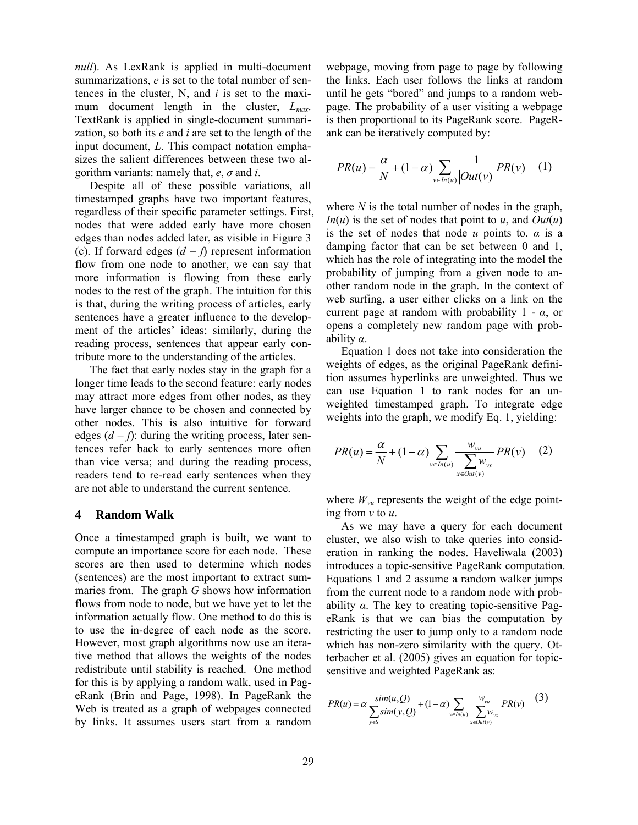*null*). As LexRank is applied in multi-document summarizations, *e* is set to the total number of sentences in the cluster, N, and *i* is set to the maximum document length in the cluster, *Lmax*. TextRank is applied in single-document summarization, so both its *e* and *i* are set to the length of the input document, *L*. This compact notation emphasizes the salient differences between these two algorithm variants: namely that, *e*, *σ* and *i*.

Despite all of these possible variations, all timestamped graphs have two important features, regardless of their specific parameter settings. First, nodes that were added early have more chosen edges than nodes added later, as visible in Figure 3 (c). If forward edges  $(d = f)$  represent information flow from one node to another, we can say that more information is flowing from these early nodes to the rest of the graph. The intuition for this is that, during the writing process of articles, early sentences have a greater influence to the development of the articles' ideas; similarly, during the reading process, sentences that appear early contribute more to the understanding of the articles.

The fact that early nodes stay in the graph for a longer time leads to the second feature: early nodes may attract more edges from other nodes, as they have larger chance to be chosen and connected by other nodes. This is also intuitive for forward edges  $(d = f)$ : during the writing process, later sentences refer back to early sentences more often than vice versa; and during the reading process, readers tend to re-read early sentences when they are not able to understand the current sentence.

#### **4 Random Walk**

Once a timestamped graph is built, we want to compute an importance score for each node. These scores are then used to determine which nodes (sentences) are the most important to extract summaries from. The graph *G* shows how information flows from node to node, but we have yet to let the information actually flow. One method to do this is to use the in-degree of each node as the score. However, most graph algorithms now use an iterative method that allows the weights of the nodes redistribute until stability is reached. One method for this is by applying a random walk, used in PageRank (Brin and Page, 1998). In PageRank the Web is treated as a graph of webpages connected by links. It assumes users start from a random webpage, moving from page to page by following the links. Each user follows the links at random until he gets "bored" and jumps to a random webpage. The probability of a user visiting a webpage is then proportional to its PageRank score. PageRank can be iteratively computed by:

$$
PR(u) = \frac{\alpha}{N} + (1 - \alpha) \sum_{v \in In(u)} \frac{1}{|Out(v)|} PR(v) \quad (1)
$$

where *N* is the total number of nodes in the graph, *In*(*u*) is the set of nodes that point to *u*, and *Out*(*u*) is the set of nodes that node *u* points to. *α* is a damping factor that can be set between 0 and 1, which has the role of integrating into the model the probability of jumping from a given node to another random node in the graph. In the context of web surfing, a user either clicks on a link on the current page at random with probability 1 - *α*, or opens a completely new random page with probability *α*.

Equation 1 does not take into consideration the weights of edges, as the original PageRank definition assumes hyperlinks are unweighted. Thus we can use Equation 1 to rank nodes for an unweighted timestamped graph. To integrate edge weights into the graph, we modify Eq. 1, yielding:

$$
PR(u) = \frac{\alpha}{N} + (1 - \alpha) \sum_{v \in In(u)} \frac{w_{vu}}{\sum_{x \in Out(v)} w_{vx}} PR(v) \quad (2)
$$

where  $W_{vu}$  represents the weight of the edge pointing from *v* to *u*.

As we may have a query for each document cluster, we also wish to take queries into consideration in ranking the nodes. Haveliwala (2003) introduces a topic-sensitive PageRank computation. Equations 1 and 2 assume a random walker jumps from the current node to a random node with probability *α*. The key to creating topic-sensitive PageRank is that we can bias the computation by restricting the user to jump only to a random node which has non-zero similarity with the query. Otterbacher et al. (2005) gives an equation for topicsensitive and weighted PageRank as:

$$
PR(u) = \alpha \frac{\text{sim}(u, Q)}{\sum_{y \in S} \text{sim}(y, Q)} + (1 - \alpha) \sum_{v \in In(u)} \frac{w_{vu}}{\sum_{x \in Out(v)} w_{vx}} PR(v) \tag{3}
$$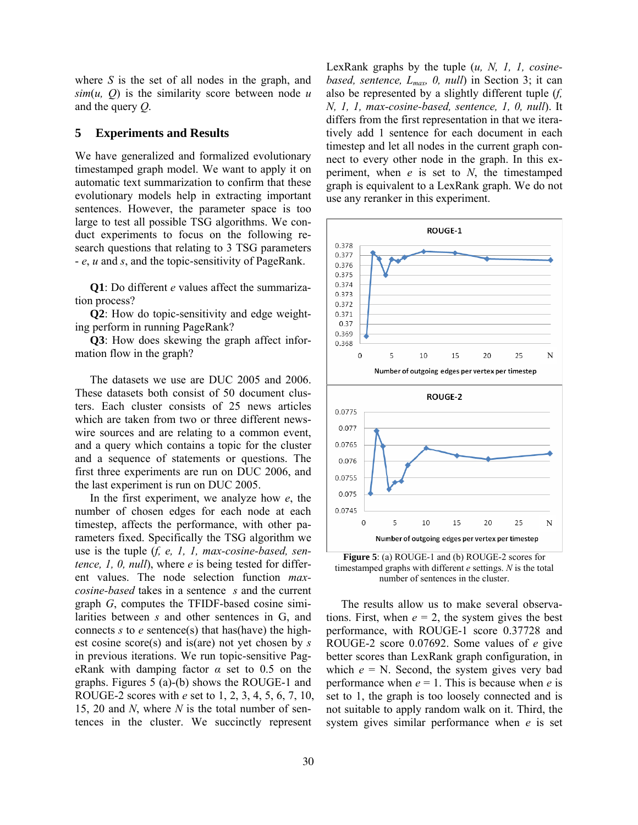where *S* is the set of all nodes in the graph, and  $\sin(u, Q)$  is the similarity score between node *u* and the query *Q*.

#### **5 Experiments and Results**

We have generalized and formalized evolutionary timestamped graph model. We want to apply it on automatic text summarization to confirm that these evolutionary models help in extracting important sentences. However, the parameter space is too large to test all possible TSG algorithms. We conduct experiments to focus on the following research questions that relating to 3 TSG parameters - *e*, *u* and *s*, and the topic-sensitivity of PageRank.

**Q1**: Do different *e* values affect the summarization process?

**Q2**: How do topic-sensitivity and edge weighting perform in running PageRank?

**Q3**: How does skewing the graph affect information flow in the graph?

The datasets we use are DUC 2005 and 2006. These datasets both consist of 50 document clusters. Each cluster consists of 25 news articles which are taken from two or three different newswire sources and are relating to a common event, and a query which contains a topic for the cluster and a sequence of statements or questions. The first three experiments are run on DUC 2006, and the last experiment is run on DUC 2005.

In the first experiment, we analyze how *e*, the number of chosen edges for each node at each timestep, affects the performance, with other parameters fixed. Specifically the TSG algorithm we use is the tuple (*f, e, 1, 1, max-cosine-based, sentence, 1, 0, null*), where *e* is being tested for different values. The node selection function *maxcosine-based* takes in a sentence *s* and the current graph *G*, computes the TFIDF-based cosine similarities between *s* and other sentences in G, and connects *s* to *e* sentence(s) that has(have) the highest cosine score(s) and is(are) not yet chosen by *s* in previous iterations. We run topic-sensitive PageRank with damping factor *α* set to 0.5 on the graphs. Figures 5 (a)-(b) shows the ROUGE-1 and ROUGE-2 scores with *e* set to 1, 2, 3, 4, 5, 6, 7, 10, 15, 20 and *N*, where *N* is the total number of sentences in the cluster. We succinctly represent

LexRank graphs by the tuple (*u, N, 1, 1, cosinebased, sentence, Lmax, 0, null*) in Section 3; it can also be represented by a slightly different tuple (*f, N, 1, 1, max-cosine-based, sentence, 1, 0, null*). It differs from the first representation in that we iteratively add 1 sentence for each document in each timestep and let all nodes in the current graph connect to every other node in the graph. In this experiment, when *e* is set to *N*, the timestamped graph is equivalent to a LexRank graph. We do not use any reranker in this experiment.



**Figure 5**: (a) ROUGE-1 and (b) ROUGE-2 scores for timestamped graphs with different *e* settings. *N* is the total number of sentences in the cluster.

The results allow us to make several observations. First, when  $e = 2$ , the system gives the best performance, with ROUGE-1 score 0.37728 and ROUGE-2 score 0.07692. Some values of *e* give better scores than LexRank graph configuration, in which  $e = N$ . Second, the system gives very bad performance when  $e = 1$ . This is because when  $e$  is set to 1, the graph is too loosely connected and is not suitable to apply random walk on it. Third, the system gives similar performance when *e* is set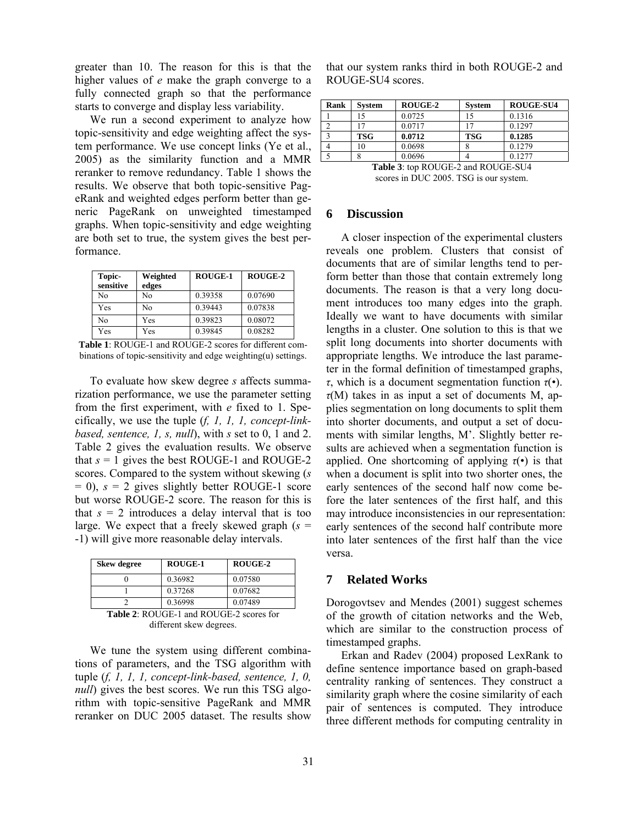greater than 10. The reason for this is that the higher values of *e* make the graph converge to a fully connected graph so that the performance starts to converge and display less variability.

We run a second experiment to analyze how topic-sensitivity and edge weighting affect the system performance. We use concept links (Ye et al., 2005) as the similarity function and a MMR reranker to remove redundancy. Table 1 shows the results. We observe that both topic-sensitive PageRank and weighted edges perform better than generic PageRank on unweighted timestamped graphs. When topic-sensitivity and edge weighting are both set to true, the system gives the best performance.

| Topic-<br>sensitive | Weighted<br>edges | ROUGE-1 | ROUGE-2 |
|---------------------|-------------------|---------|---------|
| No                  | No                | 0.39358 | 0.07690 |
| Yes                 | No                | 0.39443 | 0.07838 |
| No                  | Yes               | 0.39823 | 0.08072 |
| Yes                 | Yes               | 0.39845 | 0.08282 |

**Table 1**: ROUGE-1 and ROUGE-2 scores for different combinations of topic-sensitivity and edge weighting(u) settings.

To evaluate how skew degree *s* affects summarization performance, we use the parameter setting from the first experiment, with *e* fixed to 1. Specifically, we use the tuple (*f, 1, 1, 1, concept-linkbased, sentence, 1, s, null*), with *s* set to 0, 1 and 2. Table 2 gives the evaluation results. We observe that  $s = 1$  gives the best ROUGE-1 and ROUGE-2 scores. Compared to the system without skewing (*s* = 0), *s* = 2 gives slightly better ROUGE-1 score but worse ROUGE-2 score. The reason for this is that  $s = 2$  introduces a delay interval that is too large. We expect that a freely skewed graph (*s* = -1) will give more reasonable delay intervals.

| <b>Skew degree</b>                          | <b>ROUGE-1</b> | ROUGE-2 |  |  |  |
|---------------------------------------------|----------------|---------|--|--|--|
|                                             | 0.36982        | 0.07580 |  |  |  |
|                                             | 0.37268        | 0.07682 |  |  |  |
|                                             | 0.36998        | 0.07489 |  |  |  |
| $Table 2: DCIICE 1 and DCIICE 2 scores for$ |                |         |  |  |  |

**Table 2**: ROUGE-1 and ROUGE-2 scores for different skew degrees.

We tune the system using different combinations of parameters, and the TSG algorithm with tuple (*f, 1, 1, 1, concept-link-based, sentence, 1, 0, null*) gives the best scores. We run this TSG algorithm with topic-sensitive PageRank and MMR reranker on DUC 2005 dataset. The results show

that our system ranks third in both ROUGE-2 and ROUGE-SU4 scores.

| <b>Rank</b>                                                                                                                                                                                                           | System     | ROUGE-2 | <b>System</b> | <b>ROUGE-SU4</b> |  |  |  |
|-----------------------------------------------------------------------------------------------------------------------------------------------------------------------------------------------------------------------|------------|---------|---------------|------------------|--|--|--|
|                                                                                                                                                                                                                       |            | 0.0725  |               | 0.1316           |  |  |  |
|                                                                                                                                                                                                                       |            | 0.0717  |               | 0.1297           |  |  |  |
|                                                                                                                                                                                                                       | <b>TSG</b> | 0.0712  | <b>TSG</b>    | 0.1285           |  |  |  |
|                                                                                                                                                                                                                       | 10         | 0.0698  |               | 0.1279           |  |  |  |
|                                                                                                                                                                                                                       |            | 0.0696  |               | 0.1277           |  |  |  |
| $\mathbf{F}$ 11.2. $\mathbf{D}$ $\mathbf{O}$ $\mathbf{H}$ $\mathbf{C}$ $\mathbf{F}$ $\mathbf{A}$ $\mathbf{I}$ $\mathbf{D}$ $\mathbf{O}$ $\mathbf{H}$ $\mathbf{C}$ $\mathbf{F}$ $\mathbf{C}$ $\mathbf{H}$ $\mathbf{I}$ |            |         |               |                  |  |  |  |

**Table 3**: top ROUGE-2 and ROUGE-SU4 scores in DUC 2005. TSG is our system.

#### **6 Discussion**

A closer inspection of the experimental clusters reveals one problem. Clusters that consist of documents that are of similar lengths tend to perform better than those that contain extremely long documents. The reason is that a very long document introduces too many edges into the graph. Ideally we want to have documents with similar lengths in a cluster. One solution to this is that we split long documents into shorter documents with appropriate lengths. We introduce the last parameter in the formal definition of timestamped graphs, *τ*, which is a document segmentation function *τ*(•). *τ*(M) takes in as input a set of documents M, applies segmentation on long documents to split them into shorter documents, and output a set of documents with similar lengths, M'. Slightly better results are achieved when a segmentation function is applied. One shortcoming of applying  $\tau(\cdot)$  is that when a document is split into two shorter ones, the early sentences of the second half now come before the later sentences of the first half, and this may introduce inconsistencies in our representation: early sentences of the second half contribute more into later sentences of the first half than the vice versa.

# **7 Related Works**

Dorogovtsev and Mendes (2001) suggest schemes of the growth of citation networks and the Web, which are similar to the construction process of timestamped graphs.

Erkan and Radev (2004) proposed LexRank to define sentence importance based on graph-based centrality ranking of sentences. They construct a similarity graph where the cosine similarity of each pair of sentences is computed. They introduce three different methods for computing centrality in